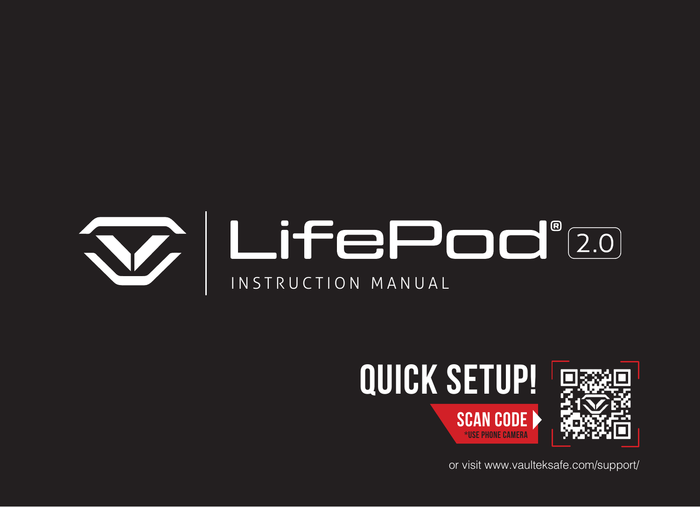



or visit www.vaulteksafe.com/support/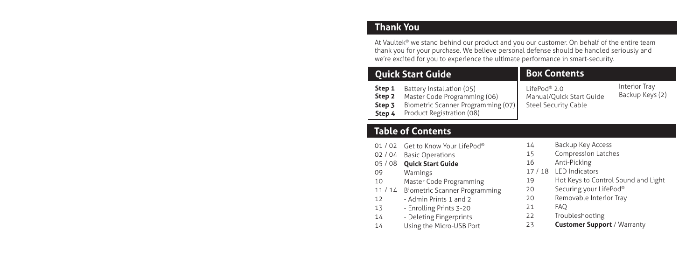#### **Thank You**

At Vaultek® we stand behind our product and you our customer. On behalf of the entire team thank you for your purchase. We believe personal defense should be handled seriously and we're excited for you to experience the ultimate performance in smart-security.

| <b>Quick Start Guide</b>                        |                                                                                                                              | <b>Box Contents</b>                                                                 |                                  |
|-------------------------------------------------|------------------------------------------------------------------------------------------------------------------------------|-------------------------------------------------------------------------------------|----------------------------------|
| Step 1<br>Step <sub>2</sub><br>Step 3<br>Step 4 | Battery Installation (05)<br>Master Code Programming (06)<br>Biometric Scanner Programming (07)<br>Product Registration (08) | LifePod <sup>®</sup> 2.0<br>Manual/Quick Start Guide<br><b>Steel Security Cable</b> | Interior Tray<br>Backup Keys (2) |

### **Table of Contents**

- 01 / 02 Get to Know Your LifePod® 02 / 04 Basic Operations 05 / 08 **Quick Start Guide** 09 10 11 / 14 Biometric Scanner Programming 12 13 14 14 Warnings Master Code Programming - Admin Prints 1 and 2 - Enrolling Prints 3-20 - Deleting Fingerprints Using the Micro-USB Port 14 15 16 19 20 20 21 22 23
- Backup Key Access Compression Latches Anti-Picking 17 / 18 LED Indicators Hot Keys to Control Sound and Light Securing your LifePod® Removable Interior Tray
	- FAQ
	- Troubleshooting
	- **Customer Support** / Warranty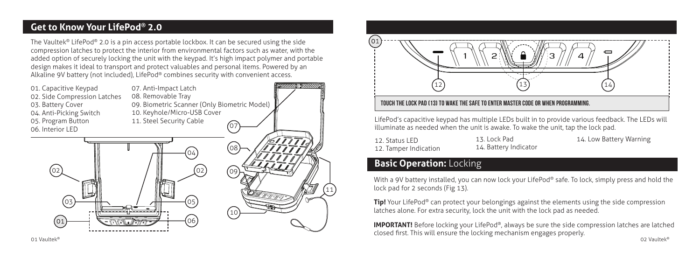#### **Get to Know Your LifePod® 2.0**

The Vaultek® LifePod® 2.0 is a pin access portable lockbox. It can be secured using the side compression latches to protect the interior from environmental factors such as water, with the added option of securely locking the unit with the keypad. It's high impact polymer and portable design makes it ideal to transport and protect valuables and personal items. Powered by an Alkaline 9V battery (not included), LifePod® combines security with convenient access.

01. Capacitive Keypad 02. Side Compression Latches 03. Battery Cover 04. Anti-Picking Switch 05. Program Button 06. Interior LED

07 07. Anti-Impact Latch 08. Removable Tray 09. Biometric Scanner (Only Biometric Model) 10. Keyhole/Micro-USB Cover 11. Steel Security Cable





LifePod's capacitive keypad has multiple LEDs built in to provide various feedback. The LEDs will illuminate as needed when the unit is awake. To wake the unit, tap the lock pad.

12. Status I FD 12. Tamper Indication

11

**NININ DEWILLIAM** 

13. Lock Pad 14. Battery Indicator

#### 14. Low Battery Warning

#### **Basic Operation: Locking**

With a 9V battery installed, you can now lock your LifePod® safe. To lock, simply press and hold the lock pad for 2 seconds (Fig 13).

**Tip!** Your LifePod<sup>®</sup> can protect your belongings against the elements using the side compression latches alone. For extra security, lock the unit with the lock pad as needed.

**IMPORTANT!** Before locking your LifePod®, always be sure the side compression latches are latched closed first. This will ensure the locking mechanism engages properly.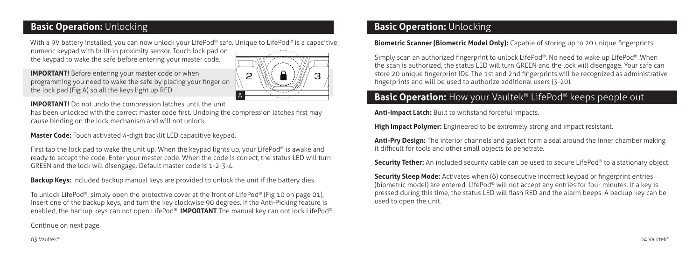### **Basic Operation:** Unlocking

With a 9V battery installed, you can now unlock your LifePod® safe. Unique to LifePod® is a capacitive

numeric keypad with built-in proximity sensor. Touch lock pad on the keypad to wake the safe before entering your master code.



**IMPORTANT!** Before entering your master code or when programming you need to wake the safe by placing your finger on the lock pad (Fig A) so all the keys light up RED.

**IMPORTANT!** Do not undo the compression latches until the unit

has been unlocked with the correct master code first. Undoing the compression latches first may cause binding on the lock mechanism and will not unlock.

**Master Code:** Touch activated 4-digit backlit LED capacitive keypad.

First tap the lock pad to wake the unit up. When the keypad lights up, your LifePod® is awake and ready to accept the code. Enter your master code. When the code is correct, the status LED will turn GREEN and the lock will disengage. Default master code is 1-2-3-4.

**Backup Keys:** Included backup manual keys are provided to unlock the unit if the battery dies.

To unlock LifePod®, simply open the protective cover at the front of LifePod® (Fig 10 on page 01), insert one of the backup keys, and turn the key clockwise 90 degrees. If the Anti-Picking feature is enabled, the backup keys can not open LifePod®. **IMPORTANT** The manual key can not lock LifePod®.

#### Continue on next page.

#### **Basic Operation: Unlocking**

#### **Biometric Scanner (Biometric Model Only):** Capable of storing up to 20 unique fingerprints.

Simply scan an authorized fingerprint to unlock LifePod®. No need to wake up LifePod®.When the scan is authorized, the status LED will turn GREEN and the lock will disengage. Your safe can store 20 unique fingerprint IDs. The 1st and 2nd fingerprints will be recognized as administrative fingerprints and will be used to authorize additional users (3-20).

# **Basic Operation:** How your Vaultek<sup>®</sup> LifePod<sup>®</sup> keeps people out

**Anti-Impact Latch:** Built to withstand forceful impacts.

**High Impact Polymer:** Engineered to be extremely strong and impact resistant.

**Anti-Pry Design:** The interior channels and gasket form a seal around the inner chamber making it difficult for tools and other small objects to penetrate.

**Security Tether:** An included security cable can be used to secure LifePod® to a stationary object.

**Security Sleep Mode:** Activates when (6) consecutive incorrect keypad or fingerprint entries (biometric model) are entered. LifePod® will not accept any entries for four minutes. If a key is pressed during this time, the status LED will flash RED and the alarm beeps. A backup key can be used to open the unit.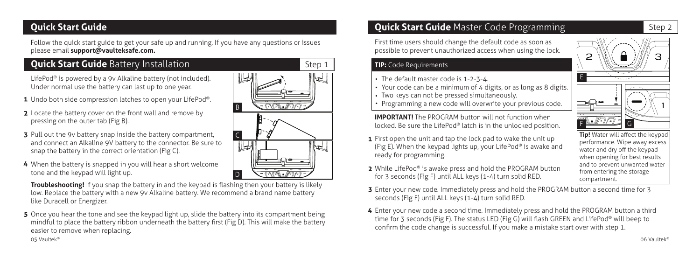### **Quick Start Guide**

Follow the quick start guide to get your safe up and running. If you have any questions or issues please email **support@vaulteksafe.com.**

# **Quick Start Guide** Battery Installation

LifePod<sup>®</sup> is powered by a 9v Alkaline battery (not included). Under normal use the battery can last up to one year.

- 1 Undo both side compression latches to open your LifePod®.
- 2 Locate the battery cover on the front wall and remove by pressing on the outer tab (Fig B).
- 3 Pull out the 9v battery snap inside the battery compartment, and connect an Alkaline 9V battery to the connector. Be sure to snap the battery in the correct orientation (Fig C).
- 4 When the battery is snapped in you will hear a short welcome tone and the keypad will light up.

**Troubleshooting!** If you snap the battery in and the keypad is flashing then your battery is likely low. Replace the battery with a new 9v Alkaline battery. We recommend a brand name battery like Duracell or Energizer.

5 Once you hear the tone and see the keypad light up, slide the battery into its compartment being mindful to place the battery ribbon underneath the battery first (Fig D). This will make the battery easier to remove when replacing. 05 Vaultek® 06 Vaultek®



# **Quick Start Guide** Master Code Programming

First time users should change the default code as soon as possible to prevent unauthorized access when using the lock.

#### **TIP:** Code Requirements

- The default master code is 1-2-3-4.
- Your code can be a minimum of 4 digits, or as long as 8 digits.
- Two keys can not be pressed simultaneously.
- Programming a new code will overwrite your previous code.

**IMPORTANT!** The PROGRAM button will not function when locked. Be sure the LifePod® latch is in the unlocked position.

- 1 First open the unit and tap the lock pad to wake the unit up (Fig E). When the keypad lights up, your LifePod® is awake and ready for programming.
- 2 While LifePod® is awake press and hold the PROGRAM button for 3 seconds (Fig F) until ALL keys (1-4) turn solid RED.
- F <u>New 3/1/4/12</u> G **Tip!** Water will affect the keypad performance. Wipe away excess water and dry off the keypad when opening for best results

E

and to prevent unwanted water from entering the storage compartment.

- **3** Enter your new code. Immediately press and hold the PROGRAM button a second time for 3 seconds (Fig F) until ALL keys (1-4) turn solid RED.
- Enter your new code a second time. Immediately press and hold the PROGRAM button a third time for 3 seconds (Fig F). The status LED (Fig G) will flash GREEN and LifePod® will beep to confirm the code change is successful. If you make a mistake start over with step 1.



Step 2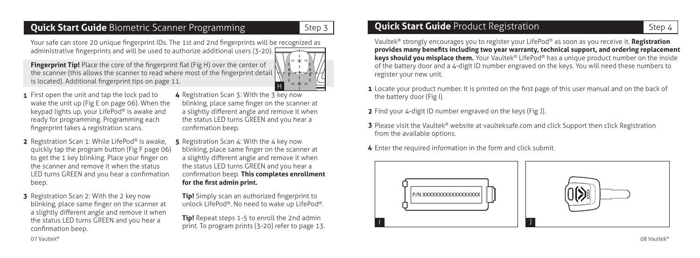# **Quick Start Guide** Biometric Scanner Programming

Your safe can store 20 unique fingerprint IDs. The 1st and 2nd fingerprints will be recognized as administrative fingerprints and will be used to authorize additional users (3-20).

**Fingerprint Tip!** Place the core of the fingerprint flat (Fig H) over the center of the scanner (this allows the scanner to read where most of the fingerprint detail  $\mathbb N$ is located). Additional fingerprint tips on page 11.



Step 3

- **1** First open the unit and tap the lock pad to wake the unit up (Fig E on page 06). When the keypad lights up, your LifePod® is awake and ready for programming. Programming each fingerprint takes 4 registration scans.
- 2 Registration Scan 1: While LifePod® is awake, quickly tap the program button (Fig F page 06) to get the 1 key blinking. Place your finger on the scanner and remove it when the status LED turns GREEN and you hear a confirmation beep.
- **3** Registration Scan 2: With the 2 key now blinking, place same finger on the scanner at a slightly different angle and remove it when the status LED turns GREEN and you hear a confirmation beep.
- 4 Registration Scan 3: With the 3 key now blinking, place same finger on the scanner at a slightly different angle and remove it when the status LED turns GREEN and you hear a confirmation beep.
- 5 Registration Scan 4: With the 4 key now blinking, place same finger on the scanner at a slightly different angle and remove it when the status LED turns GREEN and you hear a confirmation beep. **This completes enrollment for the first admin print.**

**Tip!** Simply scan an authorized fingerprint to unlock LifePod®. No need to wake up LifePod®.

**Tip!** Repeat steps 1-5 to enroll the 2nd admin print. To program prints (3-20) refer to page 13.

# **Quick Start Guide** Product Registration

Vaultek® strongly encourages you to register your LifePod® as soon as you receive it. **Registration provides many benefits including two year warranty, technical support, and ordering replacement keys should you misplace them.** Your Vaultek® LifePod® has a unique product number on the inside of the battery door and a 4-digit ID number engraved on the keys. You will need these numbers to register your new unit.

- 1 Locate your product number. It is printed on the first page of this user manual and on the back of the battery door (Fig I).
- 2 Find your 4-digit ID number engraved on the keys (Fig J).
- **3** Please visit the Vaultek® website at vaulteksafe.com and click Support then click Registration from the available options.
- Enter the required information in the form and click submit.



Step 4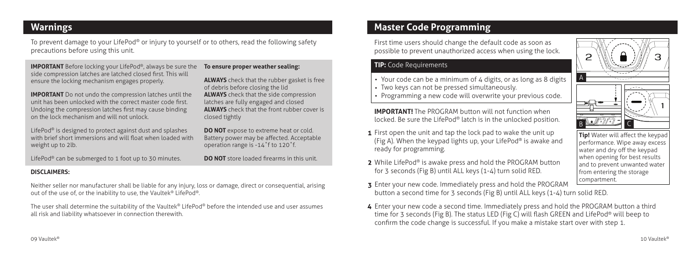### **Warnings**

To prevent damage to your LifePod® or injury to yourself or to others, read the following safety precautions before using this unit.

**IMPORTANT** Before locking your LifePod®, always be sure the side compression latches are latched closed first. This will ensure the locking mechanism engages properly.

**IMPORTANT** Do not undo the compression latches until the unit has been unlocked with the correct master code first. Undoing the compression latches first may cause binding on the lock mechanism and will not unlock.

LifePod® is designed to protect against dust and splashes with brief short immersions and will float when loaded with weight up to 2lb.

LifePod<sup>®</sup> can be submerged to 1 foot up to 30 minutes.

**To ensure proper weather sealing:** 

**ALWAYS** check that the rubber gasket is free of debris before closing the lid **ALWAYS** check that the side compression latches are fully engaged and closed **ALWAYS** check that the front rubber cover is closed tightly

**DO NOT** expose to extreme heat or cold. Battery power may be affected. Acceptable operation range is -14˚f to 120˚f.

**DO NOT** store loaded firearms in this unit.

#### **DISCLAIMERS:**

Neither seller nor manufacturer shall be liable for any injury, loss or damage, direct or consequential, arising out of the use of, or the inability to use, the Vaultek® LifePod®.

The user shall determine the suitability of the Vaultek® LifePod® before the intended use and user assumes all risk and liability whatsoever in connection therewith.

# **Master Code Programming**

First time users should change the default code as soon as possible to prevent unauthorized access when using the lock.

#### **TIP:** Code Requirements

- Your code can be a minimum of 4 digits, or as long as 8 digits
- Two keys can not be pressed simultaneously.
- Programming a new code will overwrite your previous code.

**IMPORTANT!** The PROGRAM button will not function when locked. Be sure the LifePod® latch is in the unlocked position.

- 1 First open the unit and tap the lock pad to wake the unit up (Fig A). When the keypad lights up, your LifePod® is awake and ready for programming.
- 2 While LifePod<sup>®</sup> is awake press and hold the PROGRAM button for 3 seconds (Fig B) until ALL keys (1-4) turn solid RED.
- 3 Enter your new code. Immediately press and hold the PROGRAM button a second time for 3 seconds (Fig B) until ALL keys (1-4) turn solid RED.
- Enter your new code a second time. Immediately press and hold the PROGRAM button a third time for 3 seconds (Fig B). The status LED (Fig C) will flash GREEN and LifePod® will beep to confirm the code change is successful. If you make a mistake start over with step 1.

A  $B \cong \mathbb{R}$   $\uparrow$ 

**Tip!** Water will affect the keypad performance. Wipe away excess water and dry off the keypad when opening for best results and to prevent unwanted water from entering the storage compartment.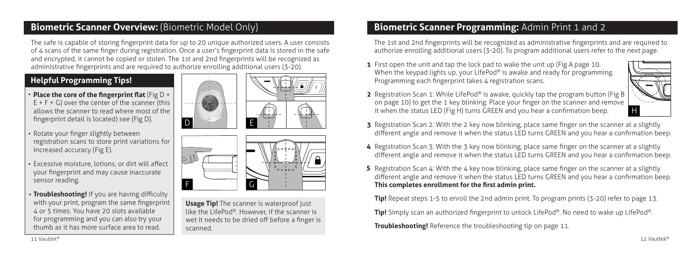### **Biometric Scanner Overview:** (Biometric Model Only)

The safe is capable of storing fingerprint data for up to 20 unique authorized users. A user consists of 4 scans of the same finger during registration. Once a user's fingerprint data is stored in the safe and encrypted, it cannot be copied or stolen. The 1st and 2nd fingerprints will be recognized as administrative fingerprints and are required to authorize enrolling additional users (3-20).

D

### **Helpful Programming Tips!**

- **Place the core of the fingerprint flat** (Fig D +  $E + F + G$ ) over the center of the scanner (this allows the scanner to read where most of the fingerprint detail is located) see (Fig D).
- Rotate your finger slightly between registration scans to store print variations for increased accuracy (Fig E).
- Excessive moisture, lotions, or dirt will affect your fingerprint and may cause inaccurate sensor reading.
- **Troubleshooting!** If you are having difficulty with your print, program the same fingerprint 4 or 5 times. You have 20 slots available for programming and you can also try your thumb as it has more surface area to read.





**Usage Tip!** The scanner is waterproof just like the LifePod®. However, if the scanner is wet it needs to be dried off before a finger is scanned.

# **Biometric Scanner Programming:** Admin Print 1 and 2

The 1st and 2nd fingerprints will be recognized as administrative fingerprints and are required to authorize enrolling additional users (3-20). To program additional users refer to the next page.

1 First open the unit and tap the lock pad to wake the unit up (Fig A page 10. When the keypad lights up, your LifePod® is awake and ready for programming. Programming each fingerprint takes 4 registration scans.



- 2 Registration Scan 1: While LifePod® is awake, quickly tap the program button (Fig B on page 10) to get the 1 key blinking. Place your finger on the scanner and remove it when the status LED (Fig H) turns GREEN and you hear a confirmation beep.
- **3** Registration Scan 2: With the 2 key now blinking, place same finger on the scanner at a slightly different angle and remove it when the status LED turns GREEN and you hear a confirmation beep.
- 4 Registration Scan 3: With the 3 key now blinking, place same finger on the scanner at a slightly different angle and remove it when the status LED turns GREEN and you hear a confirmation beep.
- 5 Registration Scan 4: With the 4 key now blinking, place same finger on the scanner at a slightly different angle and remove it when the status LED turns GREEN and you hear a confirmation beep. **This completes enrollment for the first admin print.**

**Tip!** Repeat steps 1-5 to enroll the 2nd admin print. To program prints (3-20) refer to page 13.

**Tip!** Simply scan an authorized fingerprint to unlock LifePod®. No need to wake up LifePod®.

**Troubleshooting!** Reference the troubleshooting tip on page 11.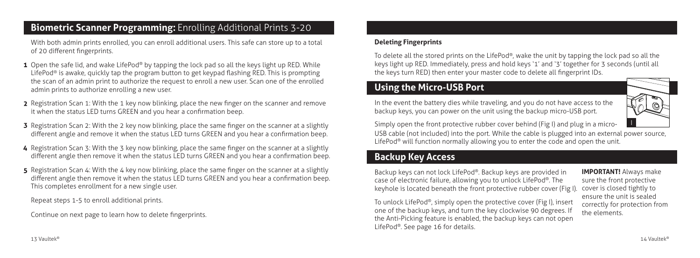### **Biometric Scanner Programming:** Enrolling Additional Prints 3-20

With both admin prints enrolled, you can enroll additional users. This safe can store up to a total of 20 different fingerprints.

- 1 Open the safe lid, and wake LifePod® by tapping the lock pad so all the keys light up RED. While LifePod® is awake, quickly tap the program button to get keypad flashing RED. This is prompting the scan of an admin print to authorize the request to enroll a new user. Scan one of the enrolled admin prints to authorize enrolling a new user.
- 2 Registration Scan 1: With the 1 key now blinking, place the new finger on the scanner and remove it when the status LED turns GREEN and you hear a confirmation beep.
- 3 Registration Scan 2: With the 2 key now blinking, place the same finger on the scanner at a slightly different angle and remove it when the status LED turns GREEN and you hear a confirmation beep.
- 4 Registration Scan 3: With the 3 key now blinking, place the same finger on the scanner at a slightly different angle then remove it when the status LED turns GREEN and you hear a confirmation beep.
- 5 Registration Scan 4: With the 4 key now blinking, place the same finger on the scanner at a slightly different angle then remove it when the status LED turns GREEN and you hear a confirmation beep. This completes enrollment for a new single user.

Repeat steps 1-5 to enroll additional prints.

Continue on next page to learn how to delete fingerprints.

#### **Deleting Fingerprints**

To delete all the stored prints on the LifePod®, wake the unit by tapping the lock pad so all the keys light up RED. Immediately, press and hold keys '1' and '3' together for 3 seconds (until all the keys turn RED) then enter your master code to delete all fingerprint IDs.

### **Using the Micro-USB Port**

In the event the battery dies while traveling, and you do not have access to the backup keys, you can power on the unit using the backup micro-USB port.

I

Simply open the front protective rubber cover behind (Fig I) and plug in a micro-

USB cable (not included) into the port. While the cable is plugged into an external power source, LifePod<sup>®</sup> will function normally allowing you to enter the code and open the unit.

### **Backup Key Access**

Backup keys can not lock LifePod®. Backup keys are provided in case of electronic failure, allowing you to unlock LifePod®. The keyhole is located beneath the front protective rubber cover (Fig I).

To unlock LifePod®, simply open the protective cover (Fig I), insert one of the backup keys, and turn the key clockwise 90 degrees. If the Anti-Picking feature is enabled, the backup keys can not open LifePod®. See page 16 for details.

**IMPORTANT!** Always make sure the front protective cover is closed tightly to ensure the unit is sealed correctly for protection from the elements.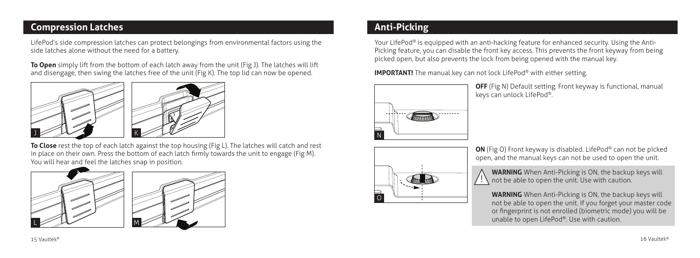#### **Compression Latches**

LifePod's side compression latches can protect belongings from environmental factors using the side latches alone without the need for a battery.

**To Open** simply lift from the bottom of each latch away from the unit (Fig J). The latches will lift and disengage, then swing the latches free of the unit (Fig K). The top lid can now be opened.



**To Close** rest the top of each latch against the top housing (Fig L). The latches will catch and rest in place on their own. Press the bottom of each latch firmly towards the unit to engage (Fig M). You will hear and feel the latches snap in position.



# **Anti-Picking**

Your LifePod® is equipped with an anti-hacking feature for enhanced security. Using the Anti-Picking feature, you can disable the front key access. This prevents the front keyway from being picked open, but also prevents the lock from being opened with the manual key.

**IMPORTANT!** The manual key can not lock LifePod<sup>®</sup> with either setting.

!



**OFF** (Fig N) Default setting. Front keyway is functional, manual keys can unlock LifePod®.



**ON** (Fig O) Front keyway is disabled. LifePod® can not be picked open, and the manual keys can not be used to open the unit.

**WARNING** When Anti-Picking is ON, the backup keys will not be able to open the unit. Use with caution.

**WARNING** When Anti-Picking is ON, the backup keys will not be able to open the unit. If you forget your master code or fingerprint is not enrolled (biometric mode) you will be unable to open LifePod®. Use with caution.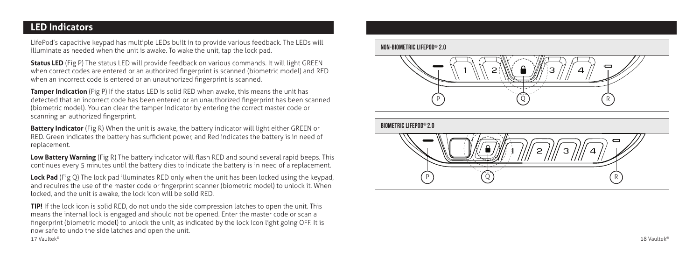# **LED Indicators**

LifePod's capacitive keypad has multiple LEDs built in to provide various feedback. The LEDs will illuminate as needed when the unit is awake. To wake the unit, tap the lock pad.

**Status LED** (Fig P) The status LED will provide feedback on various commands. It will light GREEN when correct codes are entered or an authorized fingerprint is scanned (biometric model) and RED when an incorrect code is entered or an unauthorized fingerprint is scanned.

**Tamper Indication** (Fig P) If the status LED is solid RED when awake, this means the unit has detected that an incorrect code has been entered or an unauthorized fingerprint has been scanned (biometric model). You can clear the tamper indicator by entering the correct master code or scanning an authorized fingerprint.

**Battery Indicator** (Fig R) When the unit is awake, the battery indicator will light either GREEN or RED. Green indicates the battery has sufficient power, and Red indicates the battery is in need of replacement.

**Low Battery Warning** (Fig R) The battery indicator will flash RED and sound several rapid beeps. This continues every 5 minutes until the battery dies to indicate the battery is in need of a replacement.

**Lock Pad** (Fig Q) The lock pad illuminates RED only when the unit has been locked using the keypad, and requires the use of the master code or fingerprint scanner (biometric model) to unlock it. When locked, and the unit is awake, the lock icon will be solid RED.

**TIP!** If the lock icon is solid RED, do not undo the side compression latches to open the unit. This means the internal lock is engaged and should not be opened. Enter the master code or scan a fingerprint (biometric model) to unlock the unit, as indicated by the lock icon light going OFF. It is now safe to undo the side latches and open the unit. 17 Vaultek®  $^{\circ}$  and  $^{\circ}$  18 Vaultek



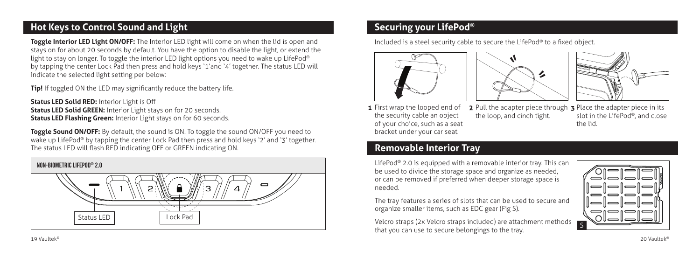# **Hot Keys to Control Sound and Light**

**Toggle Interior LED Light ON/OFF:** The Interior LED light will come on when the lid is open and stays on for about 20 seconds by default. You have the option to disable the light, or extend the light to stay on longer. To toggle the interior LED light options you need to wake up LifePod® by tapping the center Lock Pad then press and hold keys '1'and '4' together. The status LED will indicate the selected light setting per below:

**Tip!** If toggled ON the LED may significantly reduce the battery life.

**Status LED Solid RED:** Interior Light is Off **Status LED Solid GREEN:** Interior Light stays on for 20 seconds. **Status LED Flashing Green:** Interior Light stays on for 60 seconds.

**Toggle Sound ON/OFF:** By default, the sound is ON. To toggle the sound ON/OFF you need to wake up LifePod® by tapping the center Lock Pad then press and hold keys '2' and '3' together. The status LED will flash RED indicating OFF or GREEN indicating ON.



#### **Securing your LifePod®**

Included is a steel security cable to secure the LifePod® to a fixed object.







1 First wrap the looped end of the security cable an object of your choice, such as a seat bracket under your car seat.

Pull the adapter piece through 3 Place the adapter piece in its the loop, and cinch tight. slot in the LifePod®, and close the lid.

# **Removable Interior Tray**

LifePod® 2.0 is equipped with a removable interior tray. This can be used to divide the storage space and organize as needed, or can be removed if preferred when deeper storage space is needed.

The tray features a series of slots that can be used to secure and organize smaller items, such as EDC gear (Fig S).

Velcro straps (2x Velcro straps included) are attachment methods that you can use to secure belongings to the tray.

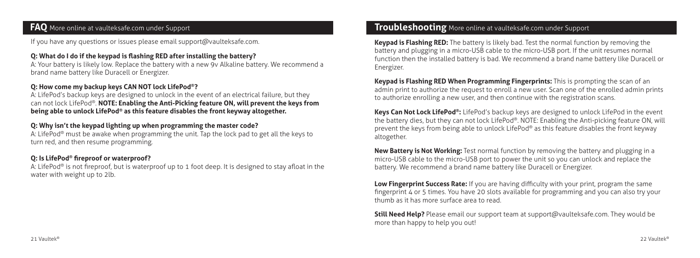#### **FAQ** More online at vaulteksafe.com under Support

If you have any questions or issues please email support@vaulteksafe.com.

#### **Q: What do I do if the keypad is flashing RED after installing the battery?**

A: Your battery is likely low. Replace the battery with a new 9v Alkaline battery. We recommend a brand name battery like Duracell or Energizer.

#### **Q: How come my backup keys CAN NOT lock LifePod®?**

A: LifePod's backup keys are designed to unlock in the event of an electrical failure, but they can not lock LifePod®. **NOTE: Enabling the Anti-Picking feature ON, will prevent the keys from being able to unlock LifePod® as this feature disables the front keyway altogether.** 

#### **Q: Why isn't the keypad lighting up when programming the master code?**

A: LifePod® must be awake when programming the unit. Tap the lock pad to get all the keys to turn red, and then resume programming.

#### **Q: Is LifePod® fireproof or waterproof?**

A: LifePod® is not fireproof, but is waterproof up to 1 foot deep. It is designed to stay afloat in the water with weight up to 2lb.

#### **Troubleshooting** More online at vaulteksafe.com under Support

**Keypad is Flashing RED:** The battery is likely bad. Test the normal function by removing the battery and plugging in a micro-USB cable to the micro-USB port. If the unit resumes normal function then the installed battery is bad. We recommend a brand name battery like Duracell or Energizer.

**Keypad is Flashing RED When Programming Fingerprints:** This is prompting the scan of an admin print to authorize the request to enroll a new user. Scan one of the enrolled admin prints to authorize enrolling a new user, and then continue with the registration scans.

**Keys Can Not Lock LifePod®:** LifePod's backup keys are designed to unlock LifePod in the event the battery dies, but they can not lock LifePod®. NOTE: Enabling the Anti-picking feature ON, will prevent the keys from being able to unlock LifePod® as this feature disables the front keyway altogether.

**New Battery is Not Working:** Test normal function by removing the battery and plugging in a micro-USB cable to the micro-USB port to power the unit so you can unlock and replace the battery. We recommend a brand name battery like Duracell or Energizer.

**Low Fingerprint Success Rate:** If you are having difficulty with your print, program the same fingerprint 4 or 5 times. You have 20 slots available for programming and you can also try your thumb as it has more surface area to read.

**Still Need Help?** Please email our support team at support@vaulteksafe.com. They would be more than happy to help you out!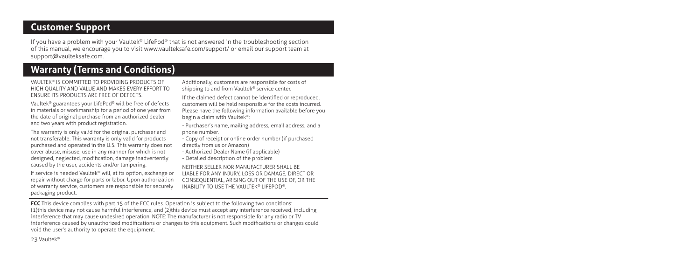#### **Customer Support**

If you have a problem with your Vaultek® LifePod® that is not answered in the troubleshooting section of this manual, we encourage you to visit www.vaulteksafe.com/support/ or email our support team at support@vaulteksafe.com.

# **Warranty (Terms and Conditions)**

VAULTEK® IS COMMITTED TO PROVIDING PRODUCTS OF HIGH QUALITY AND VALUE AND MAKES EVERY EFFORT TO ENSURE ITS PRODUCTS ARE FREE OF DEFECTS.

Vaultek® guarantees your LifePod® will be free of defects in materials or workmanship for a period of one year from the date of original purchase from an authorized dealer and two years with product registration.

The warranty is only valid for the original purchaser and not transferable. This warranty is only valid for products purchased and operated in the U.S. This warranty does not cover abuse, misuse, use in any manner for which is not designed, neglected, modification, damage inadvertently caused by the user, accidents and/or tampering.

If service is needed Vaultek® will, at its option, exchange or repair without charge for parts or labor. Upon authorization of warranty service, customers are responsible for securely packaging product.

Additionally, customers are responsible for costs of shipping to and from Vaultek<sup>®</sup> service center.

If the claimed defect cannot be identified or reproduced, customers will be held responsible for the costs incurred. Please have the following information available before you begin a claim with Vaultek®:

- Purchaser's name, mailing address, email address, and a phone number.

- Copy of receipt or online order number (if purchased directly from us or Amazon)

- Authorized Dealer Name (if applicable)

- Detailed description of the problem

NEITHER SELLER NOR MANUFACTURER SHALL BE LIABLE FOR ANY INJURY, LOSS OR DAMAGE, DIRECT OR CONSEQUENTIAL, ARISING OUT OF THE USE OF, OR THE INABILITY TO USE THE VAULTEK® LIFEPOD®.

**FCC** This device complies with part 15 of the FCC rules. Operation is subject to the following two conditions: (1)this device may not cause harmful interference, and (2)this device must accept any interference received, including interference that may cause undesired operation. NOTE: The manufacturer is not responsible for any radio or TV interference caused by unauthorized modifications or changes to this equipment. Such modifications or changes could void the user's authority to operate the equipment.

23 Vaultek®